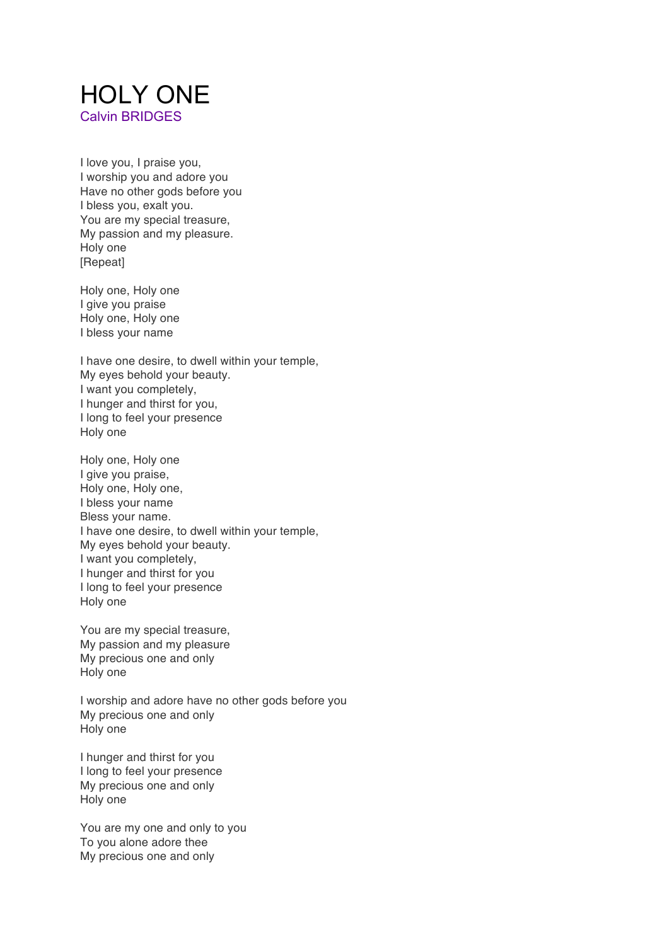## HOLY ONE Calvin BRIDGES

I love you, I praise you, I worship you and adore you Have no other gods before you I bless you, exalt you. You are my special treasure, My passion and my pleasure. Holy one [Repeat]

Holy one, Holy one I give you praise Holy one, Holy one I bless your name

I have one desire, to dwell within your temple, My eyes behold your beauty. I want you completely, I hunger and thirst for you, I long to feel your presence Holy one

Holy one, Holy one I give you praise, Holy one, Holy one, I bless your name Bless your name. I have one desire, to dwell within your temple, My eyes behold your beauty. I want you completely, I hunger and thirst for you I long to feel your presence Holy one

You are my special treasure, My passion and my pleasure My precious one and only Holy one

I worship and adore have no other gods before you My precious one and only Holy one

I hunger and thirst for you I long to feel your presence My precious one and only Holy one

You are my one and only to you To you alone adore thee My precious one and only